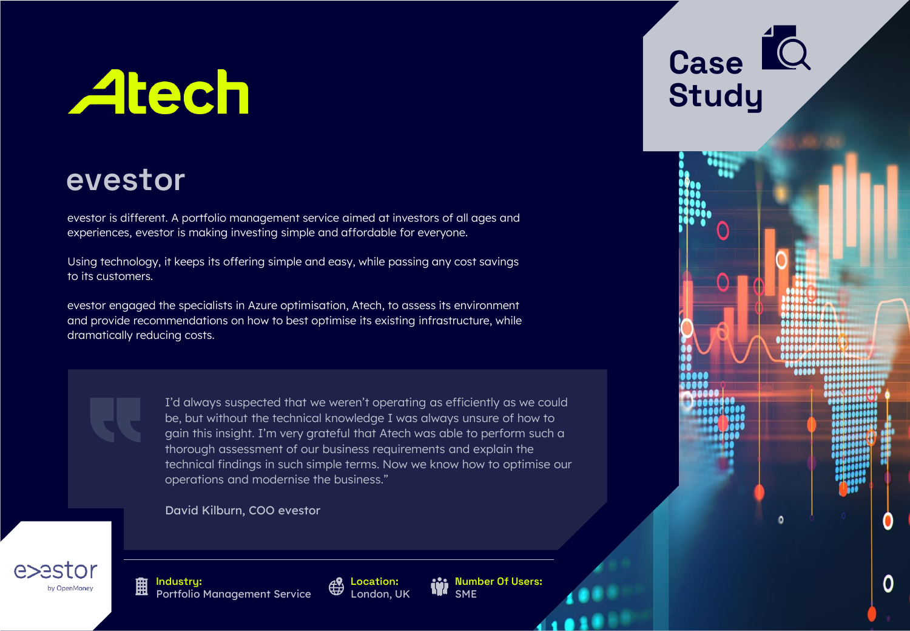# **Atech**

## **evestor**

evestor is different. A portfolio management service aimed at investors of all ages and experiences, evestor is making investing simple and affordable for everyone.

Using technology, it keeps its offering simple and easy, while passing any cost savings to its customers.

evestor engaged the specialists in Azure optimisation, Atech, to assess its environment and provide recommendations on how to best optimise its existing infrastructure, while dramatically reducing costs.

> I'd always suspected that we weren't operating as efficiently as we could be, but without the technical knowledge I was always unsure of how to gain this insight. I'm very grateful that Atech was able to perform such a thorough assessment of our business requirements and explain the technical findings in such simple terms. Now we know how to optimise our operations and modernise the business."

David Kilburn, COO evestor

by OpenMone

**Industry:** Portfolio Management Service



**Number Of Users: SME** 

## **Case Study**

O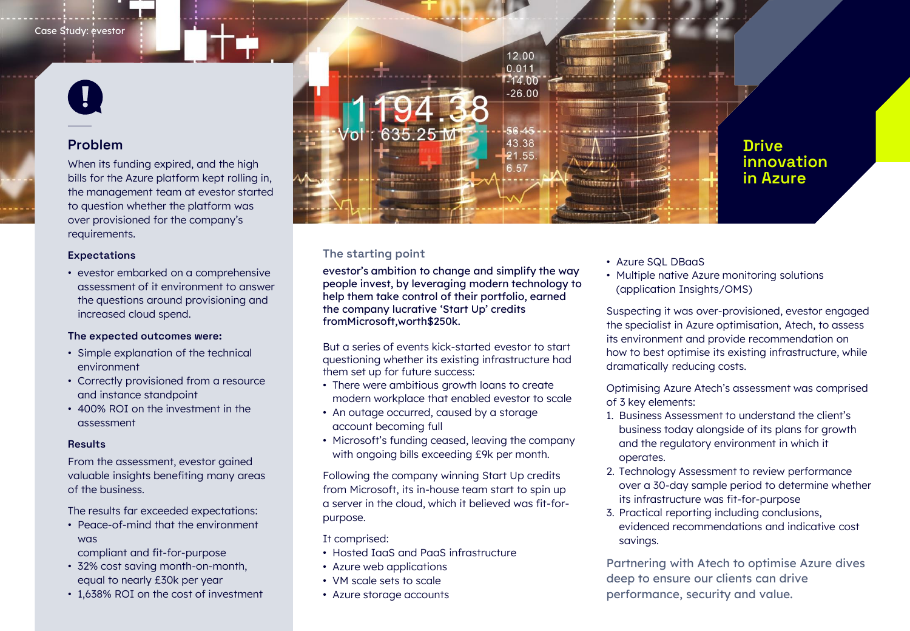

#### **Problem**

When its funding expired, and the high bills for the Azure platform kept rolling in, the management team at evestor started to question whether the platform was over provisioned for the company's requirements.

#### **Expectations**

• evestor embarked on a comprehensive assessment of it environment to answer the questions around provisioning and increased cloud spend.

#### **The expected outcomes were:**

- Simple explanation of the technical environment
- Correctly provisioned from a resource and instance standpoint
- 400% ROI on the investment in the assessment

#### **Results**

From the assessment, evestor gained valuable insights benefiting many areas of the business.

The results far exceeded expectations:

• Peace-of-mind that the environment was

compliant and fit-for-purpose

- 32% cost saving month-on-month, equal to nearly £30k per year
- 1,638% ROI on the cost of investment



#### **Drive innovation in Azure**

#### **The starting point**

evestor's ambition to change and simplify the way people invest, by leveraging modern technology to help them take control of their portfolio, earned the company lucrative 'Start Up' credits fromMicrosoft,worth\$250k.

But a series of events kick-started evestor to start questioning whether its existing infrastructure had them set up for future success:

- There were ambitious growth loans to create modern workplace that enabled evestor to scale
- An outage occurred, caused by a storage account becoming full
- Microsoft's funding ceased, leaving the company with ongoing bills exceeding £9k per month.

Following the company winning Start Up credits from Microsoft, its in-house team start to spin up a server in the cloud, which it believed was fit-forpurpose.

It comprised:

- Hosted IaaS and PaaS infrastructure
- Azure web applications
- VM scale sets to scale
- Azure storage accounts
- Azure SQL DBaaS
- Multiple native Azure monitoring solutions (application Insights/OMS)

Suspecting it was over-provisioned, evestor engaged the specialist in Azure optimisation, Atech, to assess its environment and provide recommendation on how to best optimise its existing infrastructure, while dramatically reducing costs.

Optimising Azure Atech's assessment was comprised of 3 key elements:

- 1. Business Assessment to understand the client's business today alongside of its plans for growth and the regulatory environment in which it operates.
- 2. Technology Assessment to review performance over a 30-day sample period to determine whether its infrastructure was fit-for-purpose
- 3. Practical reporting including conclusions, evidenced recommendations and indicative cost savings.

Partnering with Atech to optimise Azure dives deep to ensure our clients can drive performance, security and value.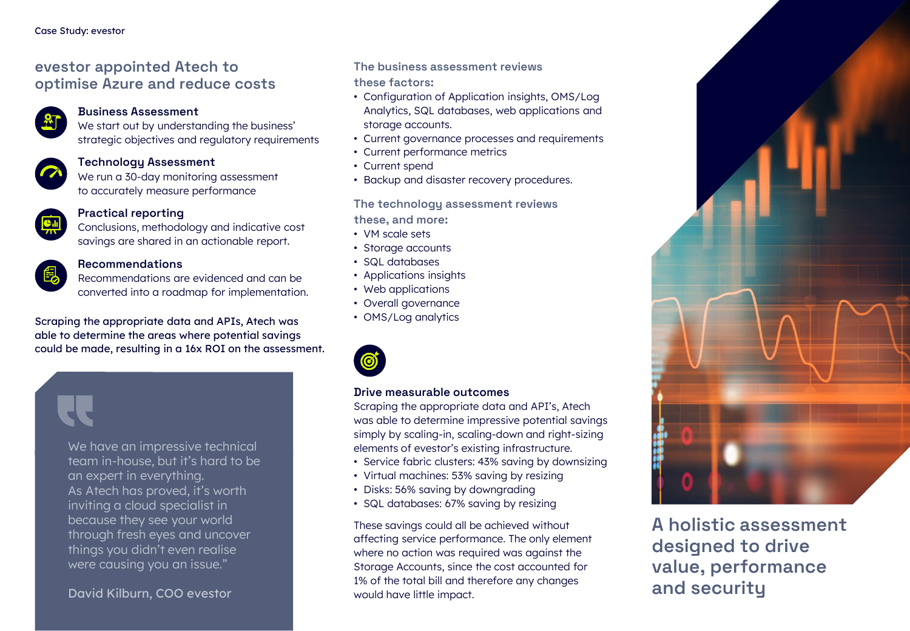### **evestor appointed Atech to optimise Azure and reduce costs**



#### **Business Assessment**

We start out by understanding the business' strategic objectives and regulatory requirements



#### **Technology Assessment**

We run a 30-day monitoring assessment to accurately measure performance



#### **Practical reporting**

Conclusions, methodology and indicative cost savings are shared in an actionable report.



#### **Recommendations**

Recommendations are evidenced and can be converted into a roadmap for implementation.

• OMS/Log analytics Scraping the appropriate data and APIs, Atech was able to determine the areas where potential savings could be made, resulting in a 16x ROI on the assessment.

**The business assessment reviews these factors:**

- Configuration of Application insights, OMS/Log Analytics, SQL databases, web applications and storage accounts.
- Current governance processes and requirements
- Current performance metrics
- Current spend
- Backup and disaster recovery procedures.

**The technology assessment reviews these, and more:**

- VM scale sets
- Storage accounts
- SQL databases
- Applications insights
- Web applications
- Overall governance
- 



#### **Drive measurable outcomes**

Scraping the appropriate data and API's, Atech was able to determine impressive potential savings simply by scaling-in, scaling-down and right-sizing elements of evestor's existing infrastructure.

- Service fabric clusters: 43% saving by downsizing
- Virtual machines: 53% saving by resizing
- Disks: 56% saving by downgrading
- SQL databases: 67% saving by resizing

These savings could all be achieved without affecting service performance. The only element where no action was required was against the Storage Accounts, since the cost accounted for 1% of the total bill and therefore any changes would have little impact.



**A holistic assessment designed to drive value, performance and security**

We have an impressive technical team in-house, but it's hard to be an expert in everything. As Atech has proved, it's worth inviting a cloud specialist in because they see your world through fresh eyes and uncover things you didn't even realise were causing you an issue."

#### David Kilburn, COO evestor